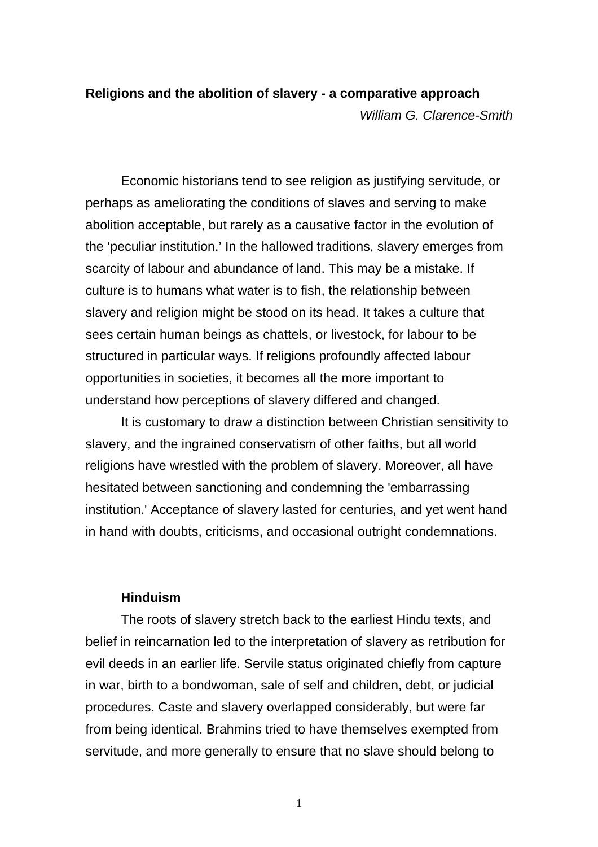# **Religions and the abolition of slavery - a comparative approach**  *William G. Clarence-Smith*

Economic historians tend to see religion as justifying servitude, or perhaps as ameliorating the conditions of slaves and serving to make abolition acceptable, but rarely as a causative factor in the evolution of the 'peculiar institution.' In the hallowed traditions, slavery emerges from scarcity of labour and abundance of land. This may be a mistake. If culture is to humans what water is to fish, the relationship between slavery and religion might be stood on its head. It takes a culture that sees certain human beings as chattels, or livestock, for labour to be structured in particular ways. If religions profoundly affected labour opportunities in societies, it becomes all the more important to understand how perceptions of slavery differed and changed.

It is customary to draw a distinction between Christian sensitivity to slavery, and the ingrained conservatism of other faiths, but all world religions have wrestled with the problem of slavery. Moreover, all have hesitated between sanctioning and condemning the 'embarrassing institution.' Acceptance of slavery lasted for centuries, and yet went hand in hand with doubts, criticisms, and occasional outright condemnations.

### **Hinduism**

The roots of slavery stretch back to the earliest Hindu texts, and belief in reincarnation led to the interpretation of slavery as retribution for evil deeds in an earlier life. Servile status originated chiefly from capture in war, birth to a bondwoman, sale of self and children, debt, or judicial procedures. Caste and slavery overlapped considerably, but were far from being identical. Brahmins tried to have themselves exempted from servitude, and more generally to ensure that no slave should belong to

1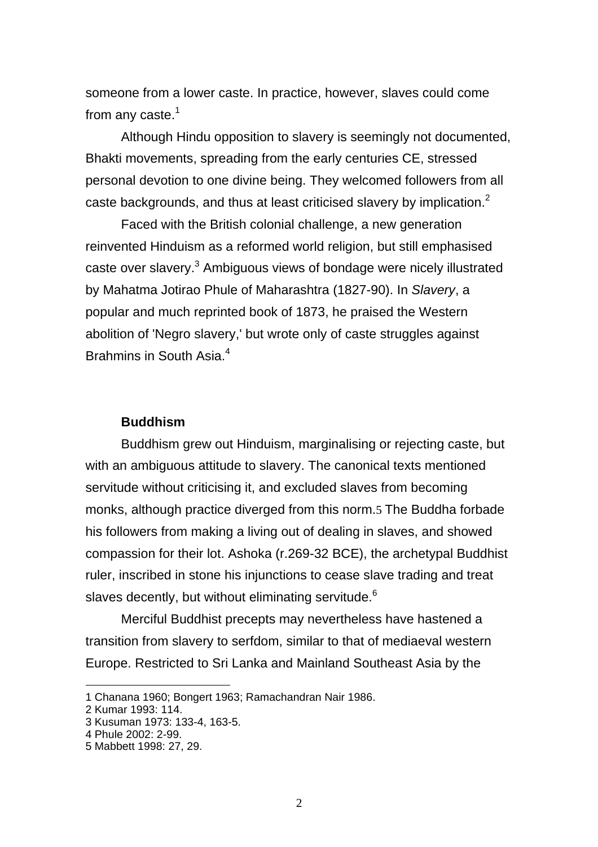someone from a lower caste. In practice, however, slaves could come from any caste. $<sup>1</sup>$  $<sup>1</sup>$  $<sup>1</sup>$ </sup>

Although Hindu opposition to slavery is seemingly not documented, Bhakti movements, spreading from the early centuries CE, stressed personal devotion to one divine being. They welcomed followers from all caste backgrounds, and thus at least criticised slavery by implication. $2^2$  $2^2$ 

Faced with the British colonial challenge, a new generation reinvented Hinduism as a reformed world religion, but still emphasised caste over slavery.<sup>[3](#page-1-2)</sup> Ambiguous views of bondage were nicely illustrated by Mahatma Jotirao Phule of Maharashtra (1827-90). In *Slavery*, a popular and much reprinted book of 1873, he praised the Western abolition of 'Negro slavery,' but wrote only of caste struggles against Brahmins in South Asia.<sup>4</sup>

### **Buddhism**

Buddhism grew out Hinduism, marginalising or rejecting caste, but with an ambiguous attitude to slavery. The canonical texts mentioned servitude without criticising it, and excluded slaves from becoming monks, although practice diverged from this norm.[5](#page-1-4) The Buddha forbade his followers from making a living out of dealing in slaves, and showed compassion for their lot. Ashoka (r.269-32 BCE), the archetypal Buddhist ruler, inscribed in stone his injunctions to cease slave trading and treat slaves decently, but without eliminating servitude. $6$ 

Merciful Buddhist precepts may nevertheless have hastened a transition from slavery to serfdom, similar to that of mediaeval western Europe. Restricted to Sri Lanka and Mainland Southeast Asia by the

<span id="page-1-0"></span><sup>1</sup> Chanana 1960; Bongert 1963; Ramachandran Nair 1986.

<span id="page-1-5"></span><span id="page-1-1"></span><sup>2</sup> Kumar 1993: 114.

<span id="page-1-2"></span><sup>3</sup> Kusuman 1973: 133-4, 163-5.

<span id="page-1-3"></span><sup>4</sup> Phule 2002: 2-99.

<span id="page-1-4"></span><sup>5</sup> Mabbett 1998: 27, 29.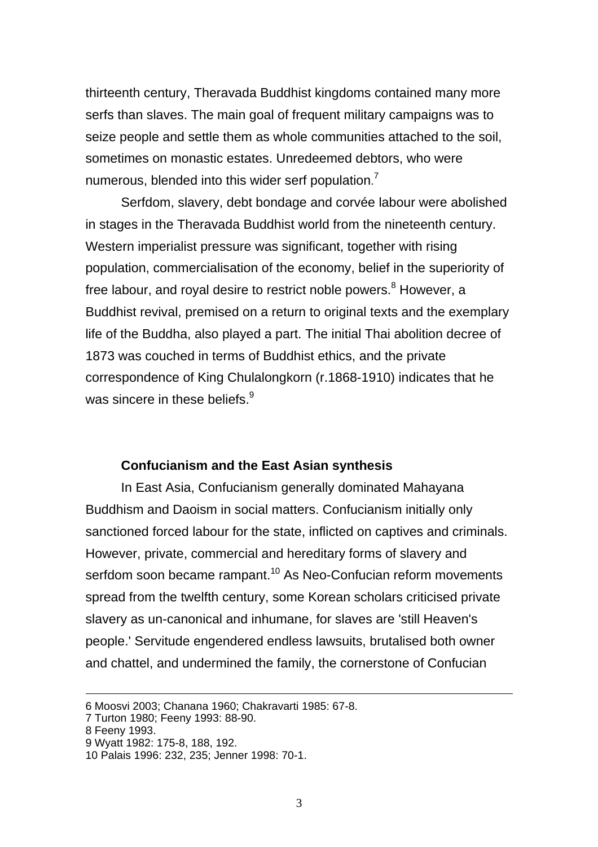thirteenth century, Theravada Buddhist kingdoms contained many more serfs than slaves. The main goal of frequent military campaigns was to seize people and settle them as whole communities attached to the soil, sometimes on monastic estates. Unredeemed debtors, who were numerous, blended into this wider serf population.<sup>[7](#page-2-0)</sup>

Serfdom, slavery, debt bondage and corvée labour were abolished in stages in the Theravada Buddhist world from the nineteenth century. Western imperialist pressure was significant, together with rising population, commercialisation of the economy, belief in the superiority of free labour, and royal desire to restrict noble powers.<sup>8</sup> However, a Buddhist revival, premised on a return to original texts and the exemplary life of the Buddha, also played a part. The initial Thai abolition decree of 1873 was couched in terms of Buddhist ethics, and the private correspondence of King Chulalongkorn (r.1868-1910) indicates that he was sincere in these beliefs.<sup>9</sup>

### **Confucianism and the East Asian synthesis**

In East Asia, Confucianism generally dominated Mahayana Buddhism and Daoism in social matters. Confucianism initially only sanctioned forced labour for the state, inflicted on captives and criminals. However, private, commercial and hereditary forms of slavery and serfdom soon became rampant.<sup>10</sup> As Neo-Confucian reform movements spread from the twelfth century, some Korean scholars criticised private slavery as un-canonical and inhumane, for slaves are 'still Heaven's people.' Servitude engendered endless lawsuits, brutalised both owner and chattel, and undermined the family, the cornerstone of Confucian

<u>.</u>

<sup>6</sup> Moosvi 2003; Chanana 1960; Chakravarti 1985: 67-8.

<span id="page-2-0"></span><sup>7</sup> Turton 1980; Feeny 1993: 88-90.

<span id="page-2-1"></span><sup>8</sup> Feeny 1993.

<span id="page-2-2"></span><sup>9</sup> Wyatt 1982: 175-8, 188, 192.

<span id="page-2-3"></span><sup>10</sup> Palais 1996: 232, 235; Jenner 1998: 70-1.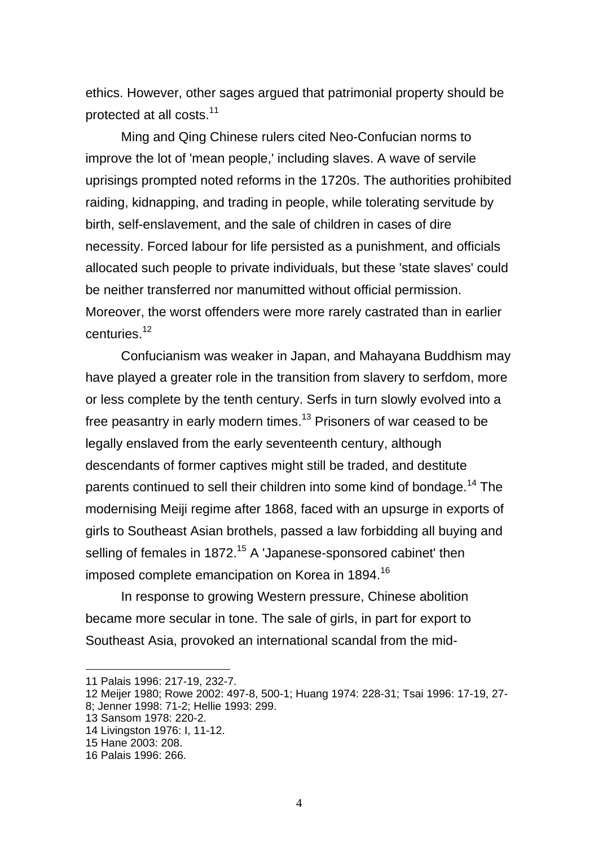ethics. However, other sages argued that patrimonial property should be protected at all costs.<sup>11</sup>

Ming and Qing Chinese rulers cited Neo-Confucian norms to improve the lot of 'mean people,' including slaves. A wave of servile uprisings prompted noted reforms in the 1720s. The authorities prohibited raiding, kidnapping, and trading in people, while tolerating servitude by birth, self-enslavement, and the sale of children in cases of dire necessity. Forced labour for life persisted as a punishment, and officials allocated such people to private individuals, but these 'state slaves' could be neither transferred nor manumitted without official permission. Moreover, the worst offenders were more rarely castrated than in earlier centuries[.12](#page-3-1)

Confucianism was weaker in Japan, and Mahayana Buddhism may have played a greater role in the transition from slavery to serfdom, more or less complete by the tenth century. Serfs in turn slowly evolved into a free peasantry in early modern times.<sup>13</sup> Prisoners of war ceased to be legally enslaved from the early seventeenth century, although descendants of former captives might still be traded, and destitute parents continued to sell their children into some kind of bondage.<sup>14</sup> The modernising Meiji regime after 1868, faced with an upsurge in exports of girls to Southeast Asian brothels, passed a law forbidding all buying and selling of females in 1872.<sup>15</sup> A 'Japanese-sponsored cabinet' then imposed complete emancipation on Korea in 1894.<sup>[16](#page-3-5)</sup>

In response to growing Western pressure, Chinese abolition became more secular in tone. The sale of girls, in part for export to Southeast Asia, provoked an international scandal from the mid-

<span id="page-3-0"></span><sup>11</sup> Palais 1996: 217-19, 232-7.

<span id="page-3-1"></span><sup>12</sup> Meijer 1980; Rowe 2002: 497-8, 500-1; Huang 1974: 228-31; Tsai 1996: 17-19, 27- 8; Jenner 1998: 71-2; Hellie 1993: 299.

<span id="page-3-2"></span><sup>13</sup> Sansom 1978: 220-2.

<span id="page-3-3"></span><sup>14</sup> Livingston 1976: I, 11-12.

<span id="page-3-4"></span><sup>15</sup> Hane 2003: 208.

<span id="page-3-5"></span><sup>16</sup> Palais 1996: 266.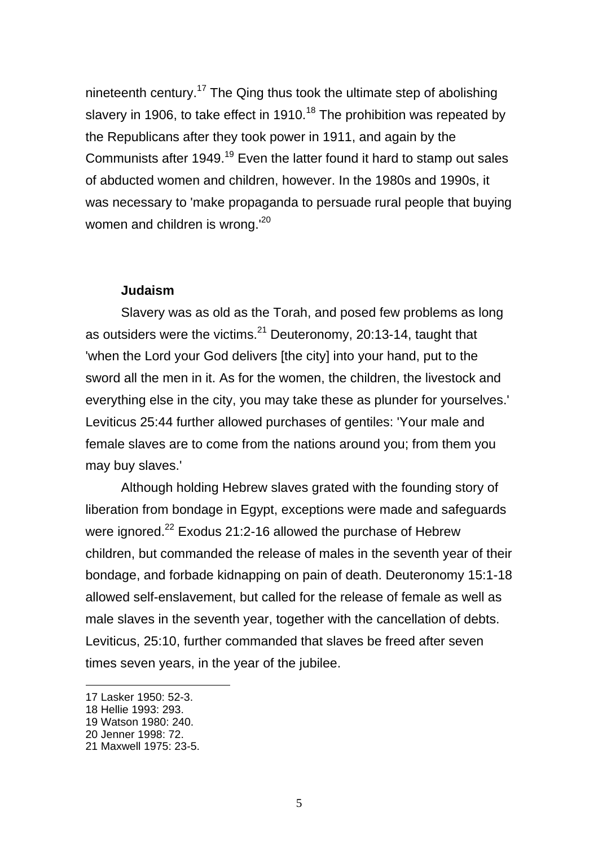nineteenth century.[17](#page-4-0) The Qing thus took the ultimate step of abolishing slavery in 1906, to take effect in 1910.<sup>18</sup> The prohibition was repeated by the Republicans after they took power in 1911, and again by the Communists after 1949.<sup>19</sup> Even the latter found it hard to stamp out sales of abducted women and children, however. In the 1980s and 1990s, it was necessary to 'make propaganda to persuade rural people that buying women and children is wrong.<sup>'[20](#page-4-3)</sup>

### **Judaism**

Slavery was as old as the Torah, and posed few problems as long as outsiders were the victims.<sup>21</sup> Deuteronomy, 20:13-14, taught that 'when the Lord your God delivers [the city] into your hand, put to the sword all the men in it. As for the women, the children, the livestock and everything else in the city, you may take these as plunder for yourselves.' Leviticus 25:44 further allowed purchases of gentiles: 'Your male and female slaves are to come from the nations around you; from them you may buy slaves.'

Although holding Hebrew slaves grated with the founding story of liberation from bondage in Egypt, exceptions were made and safeguards were ignored.<sup>22</sup> Exodus 21:2-16 allowed the purchase of Hebrew children, but commanded the release of males in the seventh year of their bondage, and forbade kidnapping on pain of death. Deuteronomy 15:1-18 allowed self-enslavement, but called for the release of female as well as male slaves in the seventh year, together with the cancellation of debts. Leviticus, 25:10, further commanded that slaves be freed after seven times seven years, in the year of the jubilee.

<span id="page-4-0"></span><sup>17</sup> Lasker 1950: 52-3.

<span id="page-4-5"></span><span id="page-4-1"></span><sup>18</sup> Hellie 1993: 293.

<span id="page-4-2"></span><sup>19</sup> Watson 1980: 240.

<span id="page-4-3"></span><sup>20</sup> Jenner 1998: 72.

<span id="page-4-4"></span><sup>21</sup> Maxwell 1975: 23-5.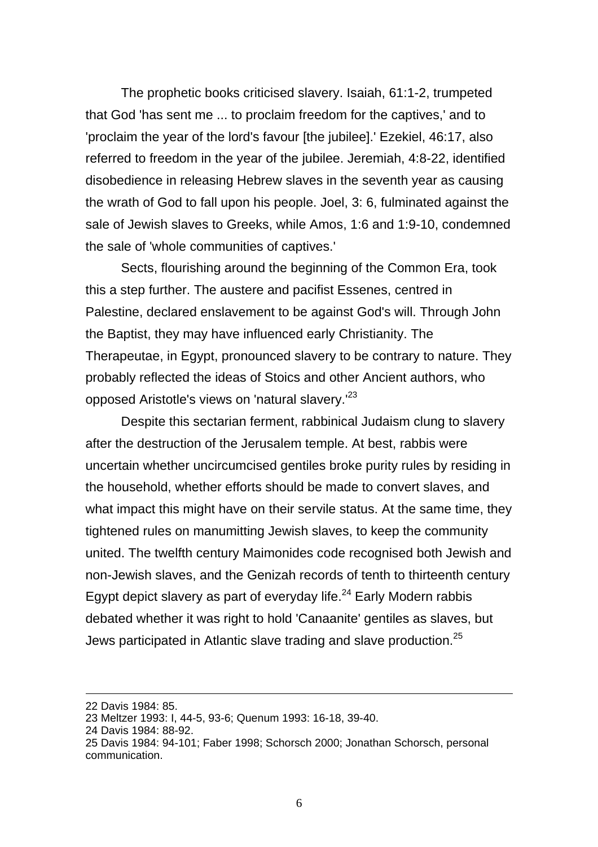The prophetic books criticised slavery. Isaiah, 61:1-2, trumpeted that God 'has sent me ... to proclaim freedom for the captives,' and to 'proclaim the year of the lord's favour [the jubilee].' Ezekiel, 46:17, also referred to freedom in the year of the jubilee. Jeremiah, 4:8-22, identified disobedience in releasing Hebrew slaves in the seventh year as causing the wrath of God to fall upon his people. Joel, 3: 6, fulminated against the sale of Jewish slaves to Greeks, while Amos, 1:6 and 1:9-10, condemned the sale of 'whole communities of captives.'

Sects, flourishing around the beginning of the Common Era, took this a step further. The austere and pacifist Essenes, centred in Palestine, declared enslavement to be against God's will. Through John the Baptist, they may have influenced early Christianity. The Therapeutae, in Egypt, pronounced slavery to be contrary to nature. They probably reflected the ideas of Stoics and other Ancient authors, who opposed Aristotle's views on 'natural slavery.<sup>[23](#page-5-0)</sup>

Despite this sectarian ferment, rabbinical Judaism clung to slavery after the destruction of the Jerusalem temple. At best, rabbis were uncertain whether uncircumcised gentiles broke purity rules by residing in the household, whether efforts should be made to convert slaves, and what impact this might have on their servile status. At the same time, they tightened rules on manumitting Jewish slaves, to keep the community united. The twelfth century Maimonides code recognised both Jewish and non-Jewish slaves, and the Genizah records of tenth to thirteenth century Egypt depict slavery as part of everyday life.<sup>24</sup> Early Modern rabbis debated whether it was right to hold 'Canaanite' gentiles as slaves, but Jews participated in Atlantic slave trading and slave production.[25](#page-5-2)

<u>.</u>

<sup>22</sup> Davis 1984: 85.

<span id="page-5-0"></span><sup>23</sup> Meltzer 1993: I, 44-5, 93-6; Quenum 1993: 16-18, 39-40.

<span id="page-5-1"></span><sup>24</sup> Davis 1984: 88-92.

<span id="page-5-2"></span><sup>25</sup> Davis 1984: 94-101; Faber 1998; Schorsch 2000; Jonathan Schorsch, personal communication.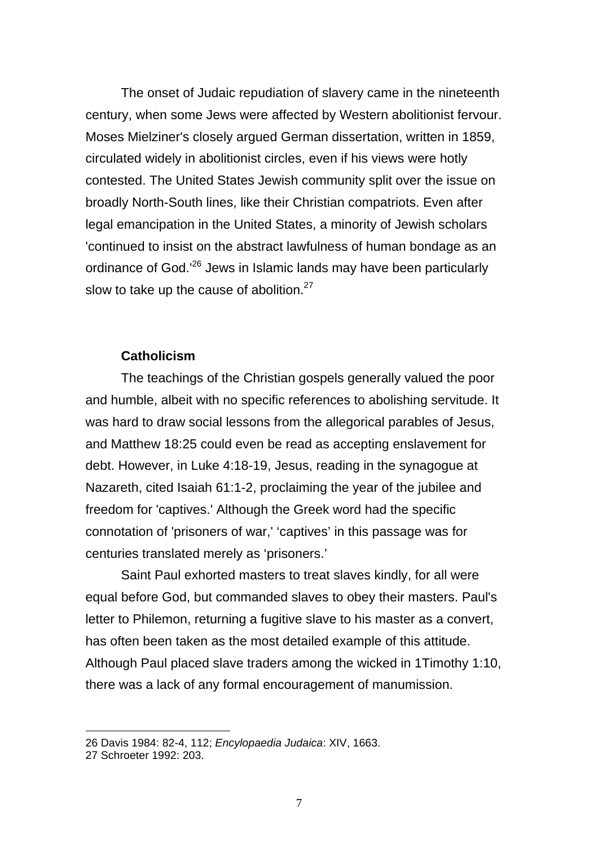The onset of Judaic repudiation of slavery came in the nineteenth century, when some Jews were affected by Western abolitionist fervour. Moses Mielziner's closely argued German dissertation, written in 1859, circulated widely in abolitionist circles, even if his views were hotly contested. The United States Jewish community split over the issue on broadly North-South lines, like their Christian compatriots. Even after legal emancipation in the United States, a minority of Jewish scholars 'continued to insist on the abstract lawfulness of human bondage as an ordinance of God.<sup>'26</sup> Jews in Islamic lands may have been particularly slow to take up the cause of abolition.<sup>[27](#page-6-1)</sup>

### **Catholicism**

The teachings of the Christian gospels generally valued the poor and humble, albeit with no specific references to abolishing servitude. It was hard to draw social lessons from the allegorical parables of Jesus, and Matthew 18:25 could even be read as accepting enslavement for debt. However, in Luke 4:18-19, Jesus, reading in the synagogue at Nazareth, cited Isaiah 61:1-2, proclaiming the year of the jubilee and freedom for 'captives.' Although the Greek word had the specific connotation of 'prisoners of war,' 'captives' in this passage was for centuries translated merely as 'prisoners.'

Saint Paul exhorted masters to treat slaves kindly, for all were equal before God, but commanded slaves to obey their masters. Paul's letter to Philemon, returning a fugitive slave to his master as a convert, has often been taken as the most detailed example of this attitude. Although Paul placed slave traders among the wicked in 1Timothy 1:10, there was a lack of any formal encouragement of manumission.

<span id="page-6-0"></span><sup>26</sup> Davis 1984: 82-4, 112; *Encylopaedia Judaica*: XIV, 1663.

<span id="page-6-1"></span><sup>27</sup> Schroeter 1992: 203.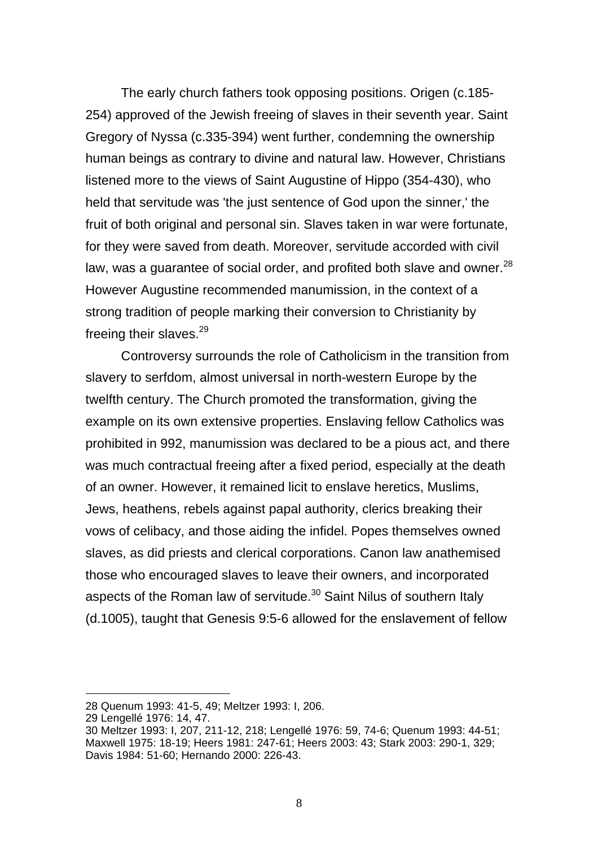The early church fathers took opposing positions. Origen (c.185- 254) approved of the Jewish freeing of slaves in their seventh year. Saint Gregory of Nyssa (c.335-394) went further, condemning the ownership human beings as contrary to divine and natural law. However, Christians listened more to the views of Saint Augustine of Hippo (354-430), who held that servitude was 'the just sentence of God upon the sinner,' the fruit of both original and personal sin. Slaves taken in war were fortunate, for they were saved from death. Moreover, servitude accorded with civil law, was a guarantee of social order, and profited both slave and owner.<sup>[28](#page-7-0)</sup> However Augustine recommended manumission, in the context of a strong tradition of people marking their conversion to Christianity by freeing their slaves.<sup>29</sup>

Controversy surrounds the role of Catholicism in the transition from slavery to serfdom, almost universal in north-western Europe by the twelfth century. The Church promoted the transformation, giving the example on its own extensive properties. Enslaving fellow Catholics was prohibited in 992, manumission was declared to be a pious act, and there was much contractual freeing after a fixed period, especially at the death of an owner. However, it remained licit to enslave heretics, Muslims, Jews, heathens, rebels against papal authority, clerics breaking their vows of celibacy, and those aiding the infidel. Popes themselves owned slaves, as did priests and clerical corporations. Canon law anathemised those who encouraged slaves to leave their owners, and incorporated aspects of the Roman law of servitude.<sup>30</sup> Saint Nilus of southern Italy (d.1005), taught that Genesis 9:5-6 allowed for the enslavement of fellow

<span id="page-7-0"></span><sup>28</sup> Quenum 1993: 41-5, 49; Meltzer 1993: I, 206.

<span id="page-7-1"></span><sup>29</sup> Lengellé 1976: 14, 47.

<span id="page-7-2"></span><sup>30</sup> Meltzer 1993: I, 207, 211-12, 218; Lengellé 1976: 59, 74-6; Quenum 1993: 44-51; Maxwell 1975: 18-19; Heers 1981: 247-61; Heers 2003: 43; Stark 2003: 290-1, 329; Davis 1984: 51-60; Hernando 2000: 226-43.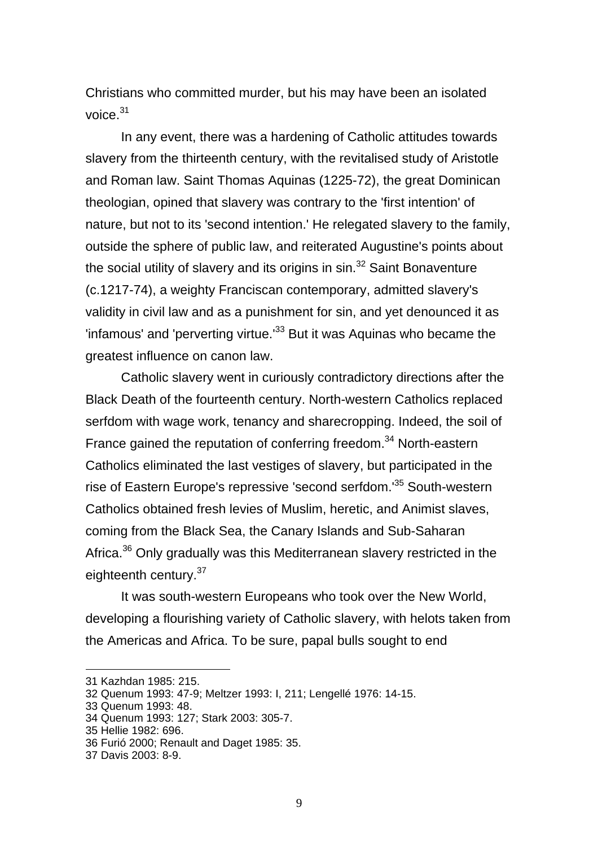Christians who committed murder, but his may have been an isolated voice.<sup>31</sup>

In any event, there was a hardening of Catholic attitudes towards slavery from the thirteenth century, with the revitalised study of Aristotle and Roman law. Saint Thomas Aquinas (1225-72), the great Dominican theologian, opined that slavery was contrary to the 'first intention' of nature, but not to its 'second intention.' He relegated slavery to the family, outside the sphere of public law, and reiterated Augustine's points about the social utility of slavery and its origins in  $sin<sup>32</sup>$  Saint Bonaventure (c.1217-74), a weighty Franciscan contemporary, admitted slavery's validity in civil law and as a punishment for sin, and yet denounced it as 'infamous' and 'perverting virtue.<sup>33</sup> But it was Aquinas who became the greatest influence on canon law.

Catholic slavery went in curiously contradictory directions after the Black Death of the fourteenth century. North-western Catholics replaced serfdom with wage work, tenancy and sharecropping. Indeed, the soil of France gained the reputation of conferring freedom.<sup>34</sup> North-eastern Catholics eliminated the last vestiges of slavery, but participated in the rise of Eastern Europe's repressive 'second serfdom.'[35](#page-8-4) South-western Catholics obtained fresh levies of Muslim, heretic, and Animist slaves, coming from the Black Sea, the Canary Islands and Sub-Saharan Africa.<sup>36</sup> Only gradually was this Mediterranean slavery restricted in the eighteenth century.<sup>[37](#page-8-6)</sup>

It was south-western Europeans who took over the New World, developing a flourishing variety of Catholic slavery, with helots taken from the Americas and Africa. To be sure, papal bulls sought to end

<span id="page-8-0"></span><sup>31</sup> Kazhdan 1985: 215.

<span id="page-8-1"></span><sup>32</sup> Quenum 1993: 47-9; Meltzer 1993: I, 211; Lengellé 1976: 14-15.

<span id="page-8-2"></span><sup>33</sup> Quenum 1993: 48.

<span id="page-8-3"></span><sup>34</sup> Quenum 1993: 127; Stark 2003: 305-7.

<span id="page-8-4"></span><sup>35</sup> Hellie 1982: 696.

<span id="page-8-5"></span><sup>36</sup> Furió 2000; Renault and Daget 1985: 35.

<span id="page-8-6"></span><sup>37</sup> Davis 2003: 8-9.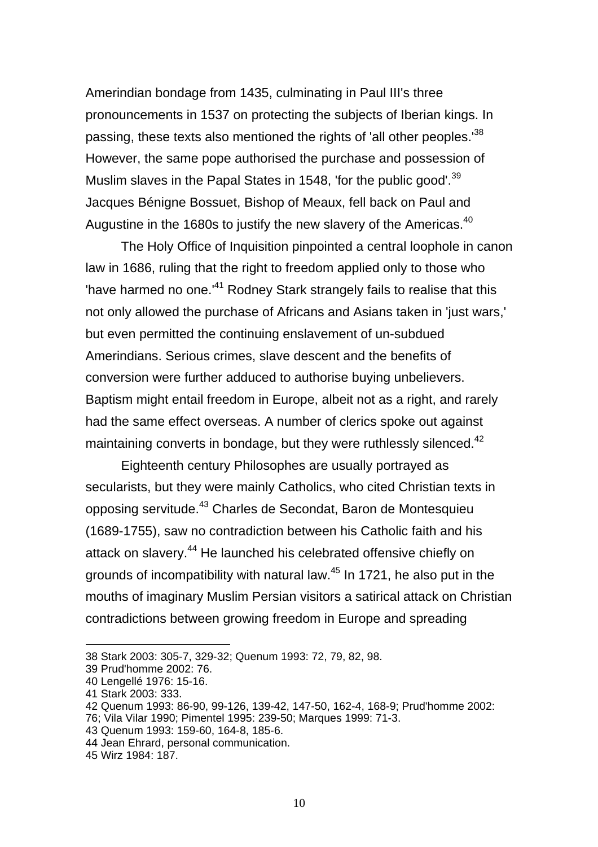Amerindian bondage from 1435, culminating in Paul III's three pronouncements in 1537 on protecting the subjects of Iberian kings. In passing, these texts also mentioned the rights of 'all other peoples.<sup>'[38](#page-9-0)</sup> However, the same pope authorised the purchase and possession of Muslim slaves in the Papal States in 1548, 'for the public good'.<sup>[39](#page-9-1)</sup> Jacques Bénigne Bossuet, Bishop of Meaux, fell back on Paul and Augustine in the 1680s to justify the new slavery of the Americas.<sup>[40](#page-9-2)</sup>

The Holy Office of Inquisition pinpointed a central loophole in canon law in 1686, ruling that the right to freedom applied only to those who 'have harmed no one.<sup>41</sup> Rodney Stark strangely fails to realise that this not only allowed the purchase of Africans and Asians taken in 'just wars,' but even permitted the continuing enslavement of un-subdued Amerindians. Serious crimes, slave descent and the benefits of conversion were further adduced to authorise buying unbelievers. Baptism might entail freedom in Europe, albeit not as a right, and rarely had the same effect overseas. A number of clerics spoke out against maintaining converts in bondage, but they were ruthlessly silenced.<sup>[42](#page-9-4)</sup>

Eighteenth century Philosophes are usually portrayed as secularists, but they were mainly Catholics, who cited Christian texts in opposing servitude[.43](#page-9-5) Charles de Secondat, Baron de Montesquieu (1689-1755), saw no contradiction between his Catholic faith and his attack on slavery.<sup>44</sup> He launched his celebrated offensive chiefly on grounds of incompatibility with natural law.[45](#page-9-7) In 1721, he also put in the mouths of imaginary Muslim Persian visitors a satirical attack on Christian contradictions between growing freedom in Europe and spreading

<span id="page-9-0"></span><sup>38</sup> Stark 2003: 305-7, 329-32; Quenum 1993: 72, 79, 82, 98.

<span id="page-9-1"></span><sup>39</sup> Prud'homme 2002: 76.

<span id="page-9-2"></span><sup>40</sup> Lengellé 1976: 15-16.

<span id="page-9-3"></span><sup>41</sup> Stark 2003: 333.

<span id="page-9-4"></span><sup>42</sup> Quenum 1993: 86-90, 99-126, 139-42, 147-50, 162-4, 168-9; Prud'homme 2002:

<sup>76;</sup> Vila Vilar 1990; Pimentel 1995: 239-50; Marques 1999: 71-3.

<span id="page-9-5"></span><sup>43</sup> Quenum 1993: 159-60, 164-8, 185-6.

<span id="page-9-6"></span><sup>44</sup> Jean Ehrard, personal communication.

<span id="page-9-7"></span><sup>45</sup> Wirz 1984: 187.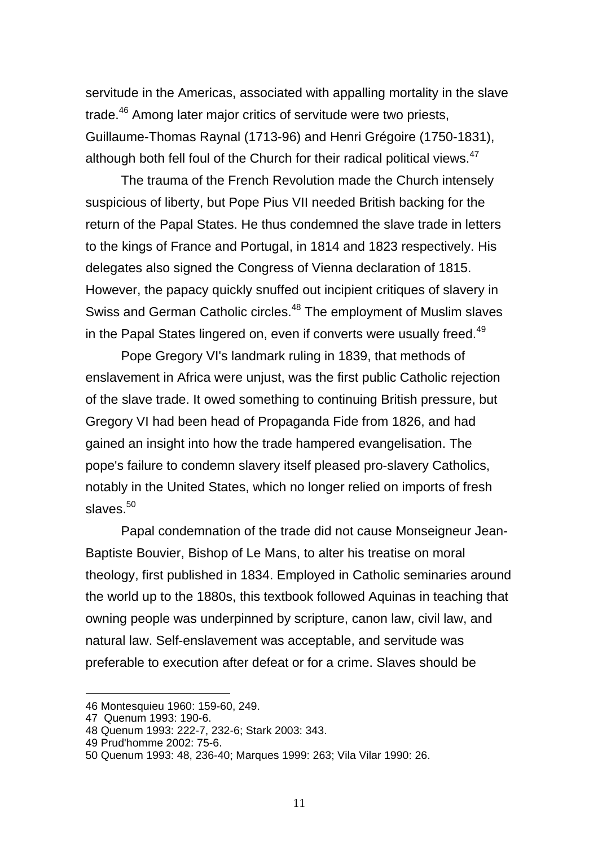servitude in the Americas, associated with appalling mortality in the slave trade.<sup>46</sup> Among later major critics of servitude were two priests, Guillaume-Thomas Raynal (1713-96) and Henri Grégoire (1750-1831), although both fell foul of the Church for their radical political views.<sup>[47](#page-10-1)</sup>

The trauma of the French Revolution made the Church intensely suspicious of liberty, but Pope Pius VII needed British backing for the return of the Papal States. He thus condemned the slave trade in letters to the kings of France and Portugal, in 1814 and 1823 respectively. His delegates also signed the Congress of Vienna declaration of 1815. However, the papacy quickly snuffed out incipient critiques of slavery in Swiss and German Catholic circles.<sup>48</sup> The employment of Muslim slaves in the Papal States lingered on, even if converts were usually freed.<sup>[49](#page-10-3)</sup>

Pope Gregory VI's landmark ruling in 1839, that methods of enslavement in Africa were unjust, was the first public Catholic rejection of the slave trade. It owed something to continuing British pressure, but Gregory VI had been head of Propaganda Fide from 1826, and had gained an insight into how the trade hampered evangelisation. The pope's failure to condemn slavery itself pleased pro-slavery Catholics, notably in the United States, which no longer relied on imports of fresh slaves.<sup>50</sup>

Papal condemnation of the trade did not cause Monseigneur Jean-Baptiste Bouvier, Bishop of Le Mans, to alter his treatise on moral theology, first published in 1834. Employed in Catholic seminaries around the world up to the 1880s, this textbook followed Aquinas in teaching that owning people was underpinned by scripture, canon law, civil law, and natural law. Self-enslavement was acceptable, and servitude was preferable to execution after defeat or for a crime. Slaves should be

<span id="page-10-0"></span><sup>46</sup> Montesquieu 1960: 159-60, 249.

<span id="page-10-1"></span><sup>47</sup> Quenum 1993: 190-6.

<span id="page-10-2"></span><sup>48</sup> Quenum 1993: 222-7, 232-6; Stark 2003: 343.

<span id="page-10-3"></span><sup>49</sup> Prud'homme 2002: 75-6.

<span id="page-10-4"></span><sup>50</sup> Quenum 1993: 48, 236-40; Marques 1999: 263; Vila Vilar 1990: 26.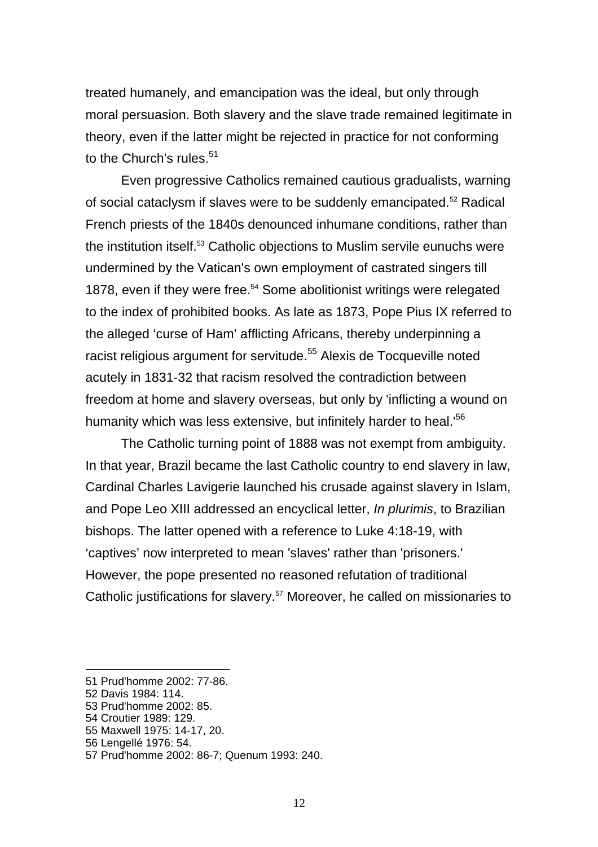treated humanely, and emancipation was the ideal, but only through moral persuasion. Both slavery and the slave trade remained legitimate in theory, even if the latter might be rejected in practice for not conforming to the Church's rules.<sup>[51](#page-11-0)</sup>

Even progressive Catholics remained cautious gradualists, warning of social cataclysm if slaves were to be suddenly emancipated.<sup>52</sup> Radical French priests of the 1840s denounced inhumane conditions, rather than the institution itself.[53](#page-11-2) Catholic objections to Muslim servile eunuchs were undermined by the Vatican's own employment of castrated singers till 1878, even if they were free.<sup>54</sup> Some abolitionist writings were relegated to the index of prohibited books. As late as 1873, Pope Pius IX referred to the alleged 'curse of Ham' afflicting Africans, thereby underpinning a racist religious argument for servitude.<sup>55</sup> Alexis de Tocqueville noted acutely in 1831-32 that racism resolved the contradiction between freedom at home and slavery overseas, but only by 'inflicting a wound on humanity which was less extensive, but infinitely harder to heal.<sup>'[56](#page-11-5)</sup>

The Catholic turning point of 1888 was not exempt from ambiguity. In that year, Brazil became the last Catholic country to end slavery in law, Cardinal Charles Lavigerie launched his crusade against slavery in Islam, and Pope Leo XIII addressed an encyclical letter, *In plurimis*, to Brazilian bishops. The latter opened with a reference to Luke 4:18-19, with 'captives' now interpreted to mean 'slaves' rather than 'prisoners.' However, the pope presented no reasoned refutation of traditional Catholic justifications for slavery.<sup>57</sup> Moreover, he called on missionaries to

<span id="page-11-0"></span><sup>51</sup> Prud'homme 2002: 77-86.

<span id="page-11-1"></span><sup>52</sup> Davis 1984: 114.

<span id="page-11-2"></span><sup>53</sup> Prud'homme 2002: 85.

<span id="page-11-3"></span><sup>54</sup> Croutier 1989: 129.

<span id="page-11-4"></span><sup>55</sup> Maxwell 1975: 14-17, 20.

<span id="page-11-5"></span><sup>56</sup> Lengellé 1976: 54.

<span id="page-11-6"></span><sup>57</sup> Prud'homme 2002: 86-7; Quenum 1993: 240.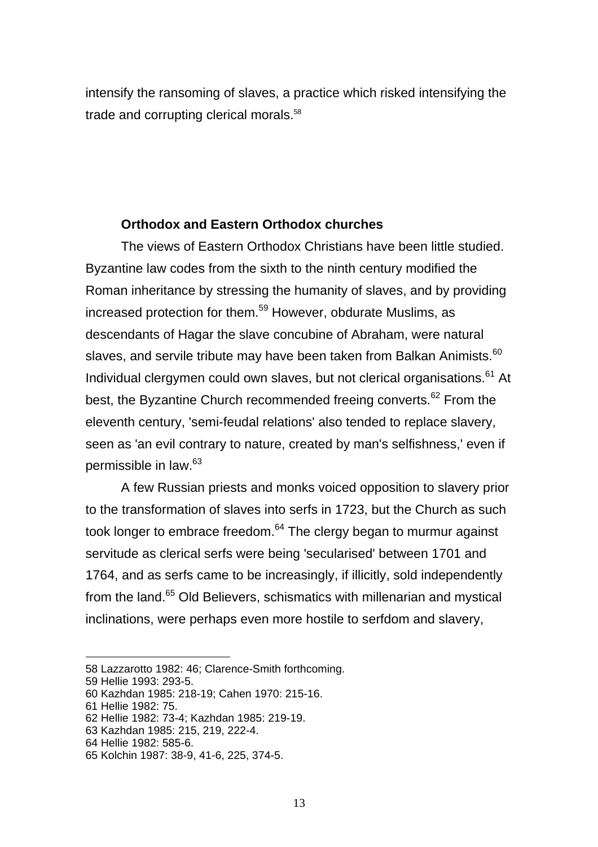intensify the ransoming of slaves, a practice which risked intensifying the trade and corrupting clerical morals[.58](#page-12-0)

# **Orthodox and Eastern Orthodox churches**

The views of Eastern Orthodox Christians have been little studied. Byzantine law codes from the sixth to the ninth century modified the Roman inheritance by stressing the humanity of slaves, and by providing increased protection for them.<sup>59</sup> However, obdurate Muslims, as descendants of Hagar the slave concubine of Abraham, were natural slaves, and servile tribute may have been taken from Balkan Animists.<sup>[60](#page-12-2)</sup> Individual clergymen could own slaves, but not clerical organisations.<sup>61</sup> At best, the Byzantine Church recommended freeing converts.<sup>62</sup> From the eleventh century, 'semi-feudal relations' also tended to replace slavery, seen as 'an evil contrary to nature, created by man's selfishness,' even if permissible in law[.63](#page-12-5)

A few Russian priests and monks voiced opposition to slavery prior to the transformation of slaves into serfs in 1723, but the Church as such took longer to embrace freedom.<sup>64</sup> The clergy began to murmur against servitude as clerical serfs were being 'secularised' between 1701 and 1764, and as serfs came to be increasingly, if illicitly, sold independently from the land.<sup>65</sup> Old Believers, schismatics with millenarian and mystical inclinations, were perhaps even more hostile to serfdom and slavery,

<span id="page-12-0"></span> $\overline{a}$ 58 Lazzarotto 1982: 46; Clarence-Smith forthcoming.

<span id="page-12-1"></span><sup>59</sup> Hellie 1993: 293-5.

<span id="page-12-2"></span><sup>60</sup> Kazhdan 1985: 218-19; Cahen 1970: 215-16.

<span id="page-12-3"></span><sup>61</sup> Hellie 1982: 75.

<span id="page-12-4"></span><sup>62</sup> Hellie 1982: 73-4; Kazhdan 1985: 219-19.

<span id="page-12-5"></span><sup>63</sup> Kazhdan 1985: 215, 219, 222-4.

<span id="page-12-6"></span><sup>64</sup> Hellie 1982: 585-6.

<span id="page-12-7"></span><sup>65</sup> Kolchin 1987: 38-9, 41-6, 225, 374-5.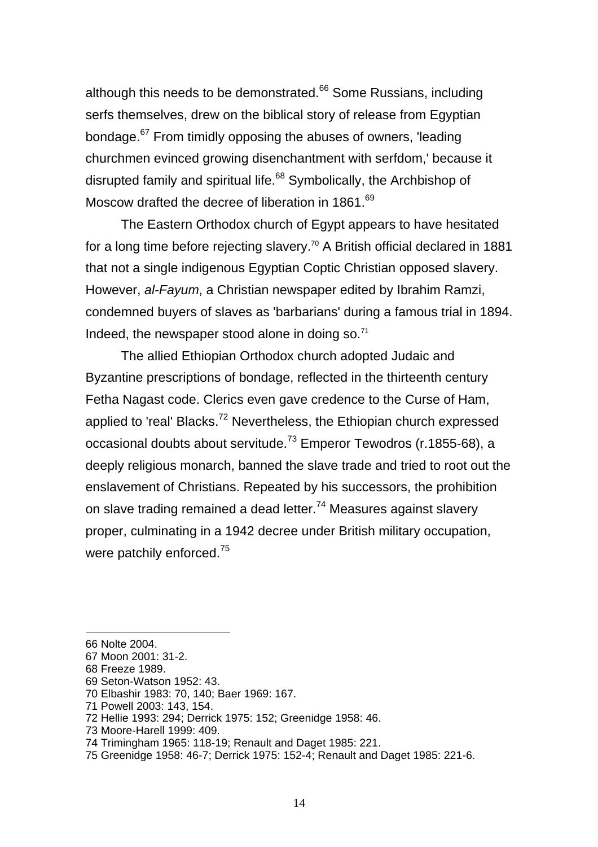although this needs to be demonstrated.<sup>66</sup> Some Russians, including serfs themselves, drew on the biblical story of release from Egyptian bondage.<sup>67</sup> From timidly opposing the abuses of owners, 'leading churchmen evinced growing disenchantment with serfdom,' because it disrupted family and spiritual life.<sup>68</sup> Symbolically, the Archbishop of Moscow drafted the decree of liberation in 1861.<sup>[69](#page-13-3)</sup>

The Eastern Orthodox church of Egypt appears to have hesitated for a long time before rejecting slavery.<sup>70</sup> A British official declared in 1881 that not a single indigenous Egyptian Coptic Christian opposed slavery. However, *al-Fayum*, a Christian newspaper edited by Ibrahim Ramzi, condemned buyers of slaves as 'barbarians' during a famous trial in 1894. Indeed, the newspaper stood alone in doing so. $71$ 

The allied Ethiopian Orthodox church adopted Judaic and Byzantine prescriptions of bondage, reflected in the thirteenth century Fetha Nagast code. Clerics even gave credence to the Curse of Ham, applied to 'real' Blacks.<sup>72</sup> Nevertheless, the Ethiopian church expressed occasional doubts about servitude.<sup>73</sup> Emperor Tewodros (r.1855-68), a deeply religious monarch, banned the slave trade and tried to root out the enslavement of Christians. Repeated by his successors, the prohibition on slave trading remained a dead letter.<sup>74</sup> Measures against slavery proper, culminating in a 1942 decree under British military occupation, were patchily enforced.<sup>[75](#page-13-9)</sup>

 $\overline{a}$ 

<span id="page-13-2"></span>68 Freeze 1989.

<span id="page-13-0"></span><sup>66</sup> Nolte 2004.

<span id="page-13-1"></span><sup>67</sup> Moon 2001: 31-2.

<span id="page-13-3"></span><sup>69</sup> Seton-Watson 1952: 43.

<span id="page-13-4"></span><sup>70</sup> Elbashir 1983: 70, 140; Baer 1969: 167.

<span id="page-13-5"></span><sup>71</sup> Powell 2003: 143, 154.

<span id="page-13-6"></span><sup>72</sup> Hellie 1993: 294; Derrick 1975: 152; Greenidge 1958: 46.

<span id="page-13-7"></span><sup>73</sup> Moore-Harell 1999: 409.

<span id="page-13-8"></span><sup>74</sup> Trimingham 1965: 118-19; Renault and Daget 1985: 221.

<span id="page-13-9"></span><sup>75</sup> Greenidge 1958: 46-7; Derrick 1975: 152-4; Renault and Daget 1985: 221-6.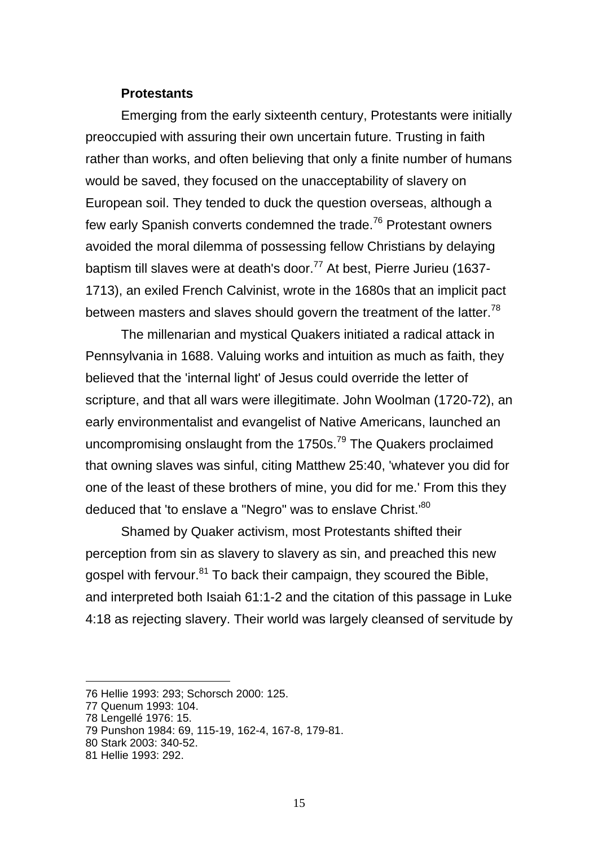### **Protestants**

Emerging from the early sixteenth century, Protestants were initially preoccupied with assuring their own uncertain future. Trusting in faith rather than works, and often believing that only a finite number of humans would be saved, they focused on the unacceptability of slavery on European soil. They tended to duck the question overseas, although a few early Spanish converts condemned the trade.<sup>76</sup> Protestant owners avoided the moral dilemma of possessing fellow Christians by delaying baptism till slaves were at death's door.<sup>77</sup> At best, Pierre Jurieu (1637-1713), an exiled French Calvinist, wrote in the 1680s that an implicit pact between masters and slaves should govern the treatment of the latter.<sup>[78](#page-14-2)</sup>

The millenarian and mystical Quakers initiated a radical attack in Pennsylvania in 1688. Valuing works and intuition as much as faith, they believed that the 'internal light' of Jesus could override the letter of scripture, and that all wars were illegitimate. John Woolman (1720-72), an early environmentalist and evangelist of Native Americans, launched an uncompromising onslaught from the 1750s.<sup>79</sup> The Quakers proclaimed that owning slaves was sinful, citing Matthew 25:40, 'whatever you did for one of the least of these brothers of mine, you did for me.' From this they deduced that 'to enslave a "Negro" was to enslave Christ.'[80](#page-14-4)

Shamed by Quaker activism, most Protestants shifted their perception from sin as slavery to slavery as sin, and preached this new gospel with fervour.<sup>81</sup> To back their campaign, they scoured the Bible, and interpreted both Isaiah 61:1-2 and the citation of this passage in Luke 4:18 as rejecting slavery. Their world was largely cleansed of servitude by

<span id="page-14-0"></span><sup>76</sup> Hellie 1993: 293; Schorsch 2000: 125.

<span id="page-14-1"></span><sup>77</sup> Quenum 1993: 104.

<span id="page-14-2"></span><sup>78</sup> Lengellé 1976: 15.

<span id="page-14-3"></span><sup>79</sup> Punshon 1984: 69, 115-19, 162-4, 167-8, 179-81.

<span id="page-14-4"></span><sup>80</sup> Stark 2003: 340-52.

<span id="page-14-5"></span><sup>81</sup> Hellie 1993: 292.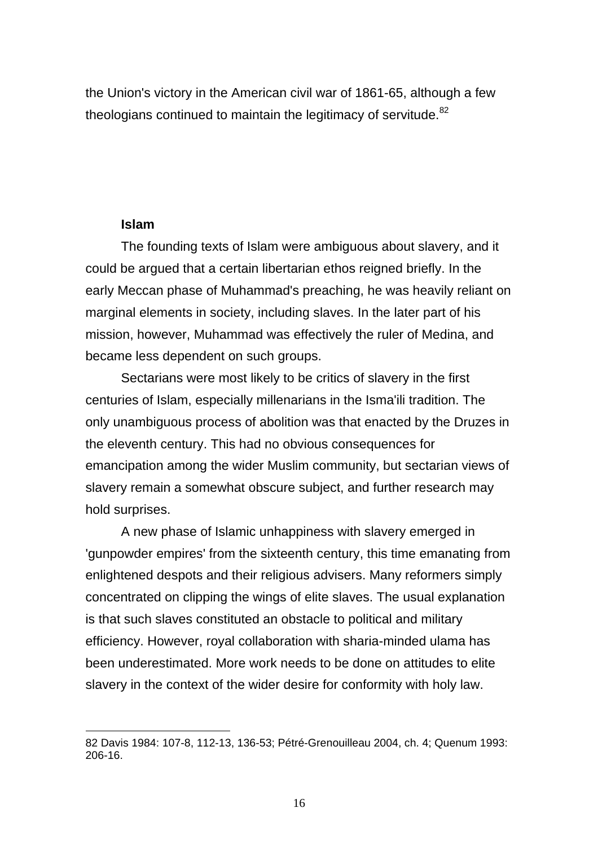the Union's victory in the American civil war of 1861-65, although a few theologians continued to maintain the legitimacy of servitude. $82$ 

## **Islam**

 $\overline{a}$ 

The founding texts of Islam were ambiguous about slavery, and it could be argued that a certain libertarian ethos reigned briefly. In the early Meccan phase of Muhammad's preaching, he was heavily reliant on marginal elements in society, including slaves. In the later part of his mission, however, Muhammad was effectively the ruler of Medina, and became less dependent on such groups.

Sectarians were most likely to be critics of slavery in the first centuries of Islam, especially millenarians in the Isma'ili tradition. The only unambiguous process of abolition was that enacted by the Druzes in the eleventh century. This had no obvious consequences for emancipation among the wider Muslim community, but sectarian views of slavery remain a somewhat obscure subject, and further research may hold surprises.

A new phase of Islamic unhappiness with slavery emerged in 'gunpowder empires' from the sixteenth century, this time emanating from enlightened despots and their religious advisers. Many reformers simply concentrated on clipping the wings of elite slaves. The usual explanation is that such slaves constituted an obstacle to political and military efficiency. However, royal collaboration with sharia-minded ulama has been underestimated. More work needs to be done on attitudes to elite slavery in the context of the wider desire for conformity with holy law.

<span id="page-15-0"></span><sup>82</sup> Davis 1984: 107-8, 112-13, 136-53; Pétré-Grenouilleau 2004, ch. 4; Quenum 1993: 206-16.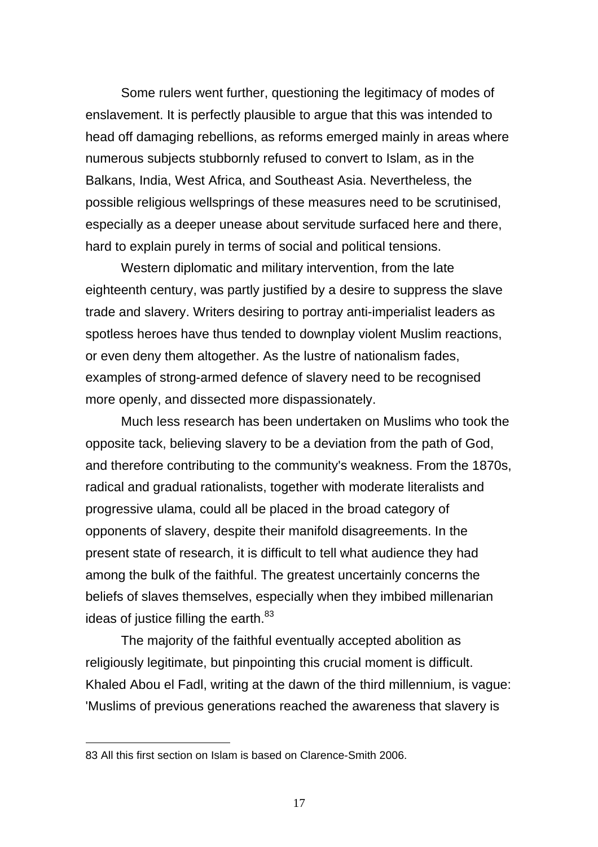Some rulers went further, questioning the legitimacy of modes of enslavement. It is perfectly plausible to argue that this was intended to head off damaging rebellions, as reforms emerged mainly in areas where numerous subjects stubbornly refused to convert to Islam, as in the Balkans, India, West Africa, and Southeast Asia. Nevertheless, the possible religious wellsprings of these measures need to be scrutinised, especially as a deeper unease about servitude surfaced here and there, hard to explain purely in terms of social and political tensions.

Western diplomatic and military intervention, from the late eighteenth century, was partly justified by a desire to suppress the slave trade and slavery. Writers desiring to portray anti-imperialist leaders as spotless heroes have thus tended to downplay violent Muslim reactions, or even deny them altogether. As the lustre of nationalism fades, examples of strong-armed defence of slavery need to be recognised more openly, and dissected more dispassionately.

Much less research has been undertaken on Muslims who took the opposite tack, believing slavery to be a deviation from the path of God, and therefore contributing to the community's weakness. From the 1870s, radical and gradual rationalists, together with moderate literalists and progressive ulama, could all be placed in the broad category of opponents of slavery, despite their manifold disagreements. In the present state of research, it is difficult to tell what audience they had among the bulk of the faithful. The greatest uncertainly concerns the beliefs of slaves themselves, especially when they imbibed millenarian ideas of justice filling the earth. $83$ 

The majority of the faithful eventually accepted abolition as religiously legitimate, but pinpointing this crucial moment is difficult. Khaled Abou el Fadl, writing at the dawn of the third millennium, is vague: 'Muslims of previous generations reached the awareness that slavery is

<span id="page-16-0"></span><sup>83</sup> All this first section on Islam is based on Clarence-Smith 2006.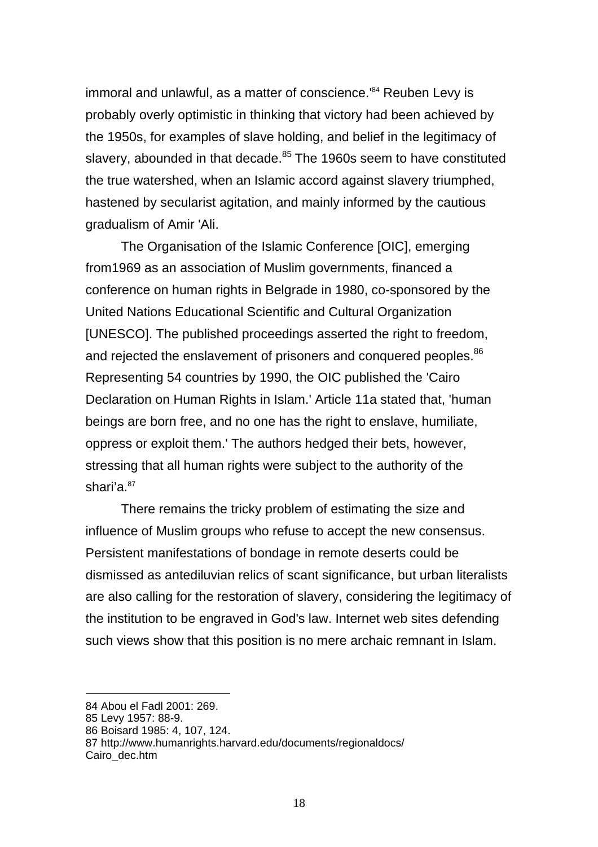immoral and unlawful, as a matter of conscience.<sup>'84</sup> Reuben Levy is probably overly optimistic in thinking that victory had been achieved by the 1950s, for examples of slave holding, and belief in the legitimacy of slavery, abounded in that decade.<sup>[85](#page-17-1)</sup> The 1960s seem to have constituted the true watershed, when an Islamic accord against slavery triumphed, hastened by secularist agitation, and mainly informed by the cautious gradualism of Amir 'Ali.

The Organisation of the Islamic Conference [OIC], emerging from1969 as an association of Muslim governments, financed a conference on human rights in Belgrade in 1980, co-sponsored by the United Nations Educational Scientific and Cultural Organization [UNESCO]. The published proceedings asserted the right to freedom, and rejected the enslavement of prisoners and conquered peoples.<sup>[86](#page-17-2)</sup> Representing 54 countries by 1990, the OIC published the 'Cairo Declaration on Human Rights in Islam.' Article 11a stated that, 'human beings are born free, and no one has the right to enslave, humiliate, oppress or exploit them.' The authors hedged their bets, however, stressing that all human rights were subject to the authority of the shari'a.<sup>87</sup>

There remains the tricky problem of estimating the size and influence of Muslim groups who refuse to accept the new consensus. Persistent manifestations of bondage in remote deserts could be dismissed as antediluvian relics of scant significance, but urban literalists are also calling for the restoration of slavery, considering the legitimacy of the institution to be engraved in God's law. Internet web sites defending such views show that this position is no mere archaic remnant in Islam.

 $\overline{a}$ 

<span id="page-17-2"></span>86 Boisard 1985: 4, 107, 124.

<span id="page-17-0"></span><sup>84</sup> Abou el Fadl 2001: 269.

<span id="page-17-1"></span><sup>85</sup> Levy 1957: 88-9.

<span id="page-17-3"></span><sup>87</sup> http://www.humanrights.harvard.edu/documents/regionaldocs/ Cairo\_dec.htm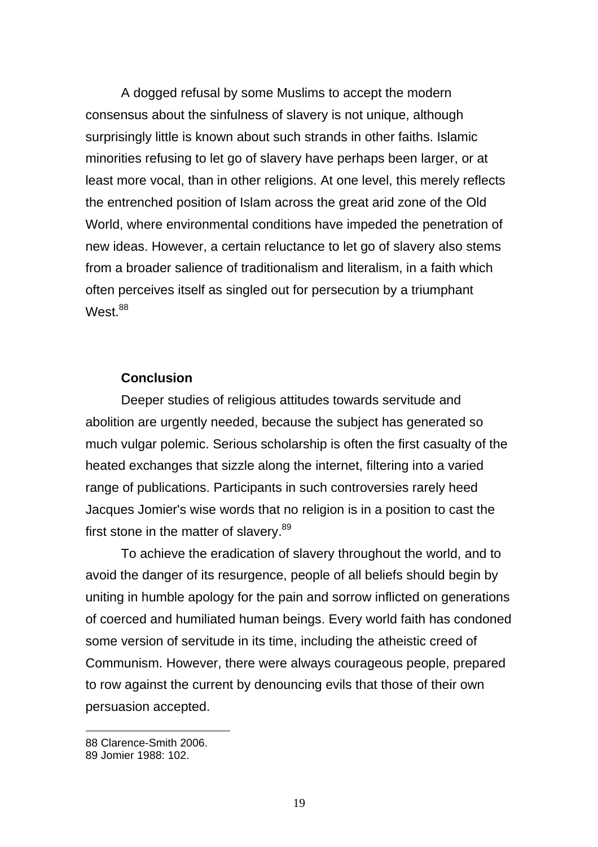A dogged refusal by some Muslims to accept the modern consensus about the sinfulness of slavery is not unique, although surprisingly little is known about such strands in other faiths. Islamic minorities refusing to let go of slavery have perhaps been larger, or at least more vocal, than in other religions. At one level, this merely reflects the entrenched position of Islam across the great arid zone of the Old World, where environmental conditions have impeded the penetration of new ideas. However, a certain reluctance to let go of slavery also stems from a broader salience of traditionalism and literalism, in a faith which often perceives itself as singled out for persecution by a triumphant West.<sup>88</sup>

## **Conclusion**

Deeper studies of religious attitudes towards servitude and abolition are urgently needed, because the subject has generated so much vulgar polemic. Serious scholarship is often the first casualty of the heated exchanges that sizzle along the internet, filtering into a varied range of publications. Participants in such controversies rarely heed Jacques Jomier's wise words that no religion is in a position to cast the first stone in the matter of slavery.<sup>[89](#page-18-1)</sup>

To achieve the eradication of slavery throughout the world, and to avoid the danger of its resurgence, people of all beliefs should begin by uniting in humble apology for the pain and sorrow inflicted on generations of coerced and humiliated human beings. Every world faith has condoned some version of servitude in its time, including the atheistic creed of Communism. However, there were always courageous people, prepared to row against the current by denouncing evils that those of their own persuasion accepted.

<span id="page-18-0"></span><sup>88</sup> Clarence-Smith 2006.

<span id="page-18-1"></span><sup>89</sup> Jomier 1988: 102.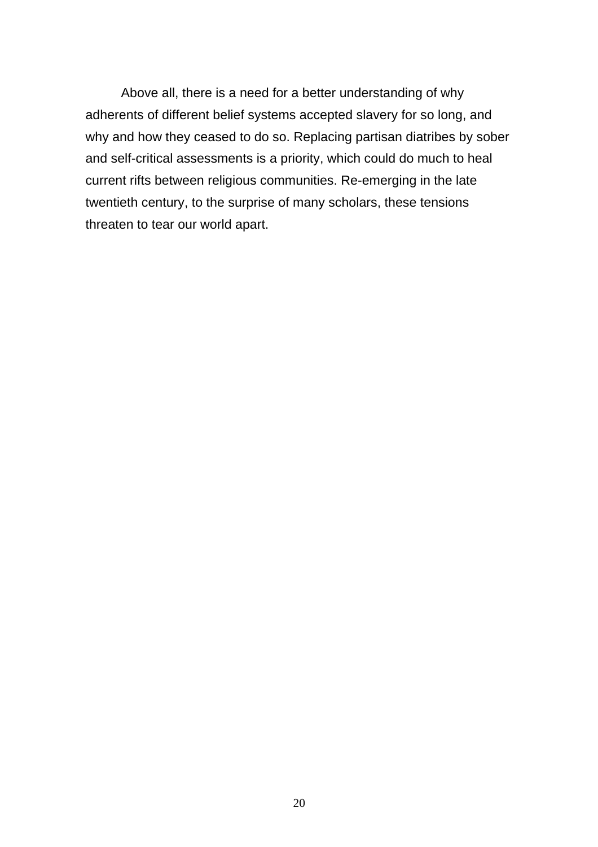Above all, there is a need for a better understanding of why adherents of different belief systems accepted slavery for so long, and why and how they ceased to do so. Replacing partisan diatribes by sober and self-critical assessments is a priority, which could do much to heal current rifts between religious communities. Re-emerging in the late twentieth century, to the surprise of many scholars, these tensions threaten to tear our world apart.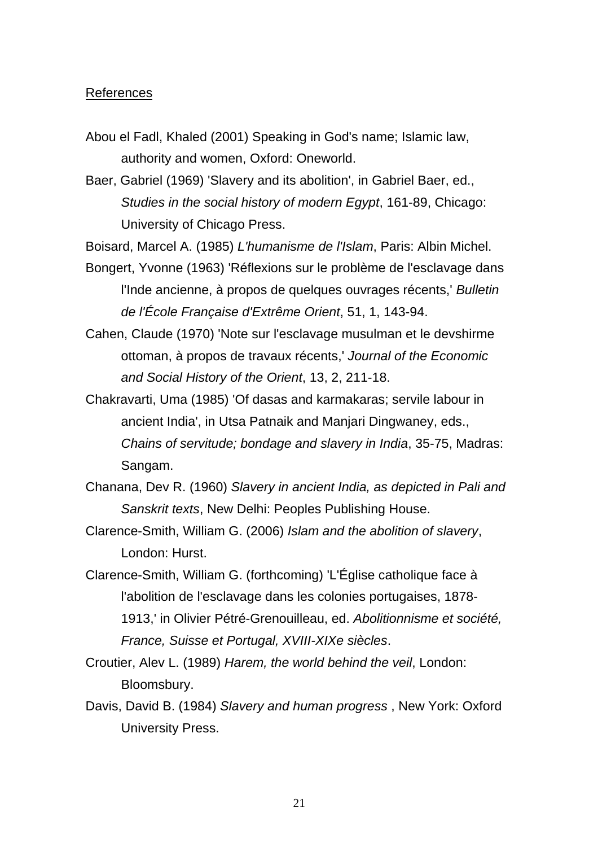#### References

- Abou el Fadl, Khaled (2001) Speaking in God's name; Islamic law, authority and women, Oxford: Oneworld.
- Baer, Gabriel (1969) 'Slavery and its abolition', in Gabriel Baer, ed., *Studies in the social history of modern Egypt*, 161-89, Chicago: University of Chicago Press.
- Boisard, Marcel A. (1985) *L'humanisme de l'Islam*, Paris: Albin Michel.
- Bongert, Yvonne (1963) 'Réflexions sur le problème de l'esclavage dans l'Inde ancienne, à propos de quelques ouvrages récents,' *Bulletin de l'École Française d'Extrême Orient*, 51, 1, 143-94.
- Cahen, Claude (1970) 'Note sur l'esclavage musulman et le devshirme ottoman, à propos de travaux récents,' *Journal of the Economic and Social History of the Orient*, 13, 2, 211-18.
- Chakravarti, Uma (1985) 'Of dasas and karmakaras; servile labour in ancient India', in Utsa Patnaik and Manjari Dingwaney, eds., *Chains of servitude; bondage and slavery in India*, 35-75, Madras: Sangam.
- Chanana, Dev R. (1960) *Slavery in ancient India, as depicted in Pali and Sanskrit texts*, New Delhi: Peoples Publishing House.
- Clarence-Smith, William G. (2006) *Islam and the abolition of slavery*, London: Hurst.
- Clarence-Smith, William G. (forthcoming) 'L'Église catholique face à l'abolition de l'esclavage dans les colonies portugaises, 1878- 1913,' in Olivier Pétré-Grenouilleau, ed. *Abolitionnisme et société, France, Suisse et Portugal, XVIII-XIXe siècles*.
- Croutier, Alev L. (1989) *Harem, the world behind the veil*, London: Bloomsbury.
- Davis, David B. (1984) *Slavery and human progress* , New York: Oxford University Press.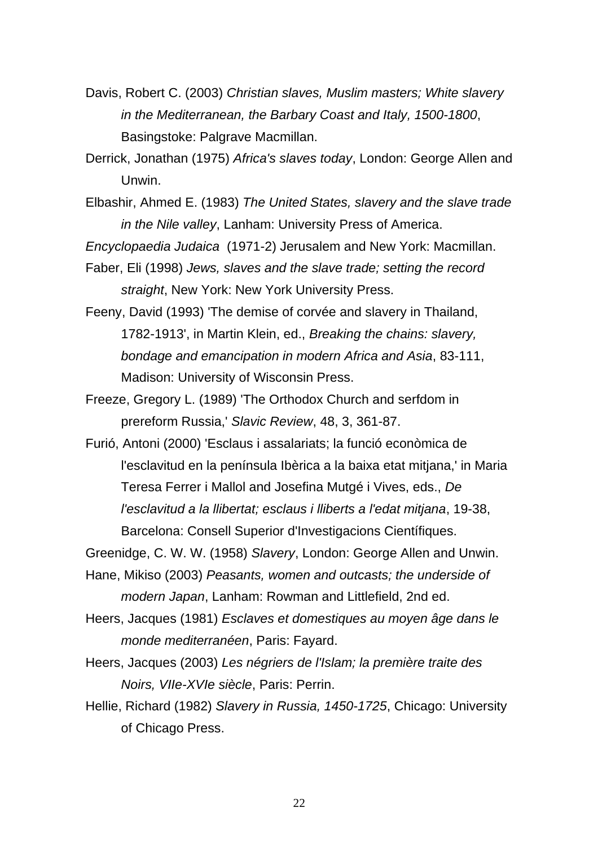- Davis, Robert C. (2003) *Christian slaves, Muslim masters; White slavery in the Mediterranean, the Barbary Coast and Italy, 1500-1800*, Basingstoke: Palgrave Macmillan.
- Derrick, Jonathan (1975) *Africa's slaves today*, London: George Allen and Unwin.
- Elbashir, Ahmed E. (1983) *The United States, slavery and the slave trade in the Nile valley*, Lanham: University Press of America.

*Encyclopaedia Judaica* (1971-2) Jerusalem and New York: Macmillan.

- Faber, Eli (1998) *Jews, slaves and the slave trade; setting the record straight*, New York: New York University Press.
- Feeny, David (1993) 'The demise of corvée and slavery in Thailand, 1782-1913', in Martin Klein, ed., *Breaking the chains: slavery, bondage and emancipation in modern Africa and Asia*, 83-111, Madison: University of Wisconsin Press.
- Freeze, Gregory L. (1989) 'The Orthodox Church and serfdom in prereform Russia,' *Slavic Review*, 48, 3, 361-87.
- Furió, Antoni (2000) 'Esclaus i assalariats; la funció econòmica de l'esclavitud en la península Ibèrica a la baixa etat mitjana,' in Maria Teresa Ferrer i Mallol and Josefina Mutgé i Vives, eds., *De l'esclavitud a la llibertat; esclaus i lliberts a l'edat mitjana*, 19-38, Barcelona: Consell Superior d'Investigacions Científiques.

Greenidge, C. W. W. (1958) *Slavery*, London: George Allen and Unwin.

- Hane, Mikiso (2003) *Peasants, women and outcasts; the underside of modern Japan*, Lanham: Rowman and Littlefield, 2nd ed.
- Heers, Jacques (1981) *Esclaves et domestiques au moyen âge dans le monde mediterranéen*, Paris: Fayard.
- Heers, Jacques (2003) *Les négriers de l'Islam; la première traite des Noirs, VIIe-XVIe siècle*, Paris: Perrin.
- Hellie, Richard (1982) *Slavery in Russia, 1450-1725*, Chicago: University of Chicago Press.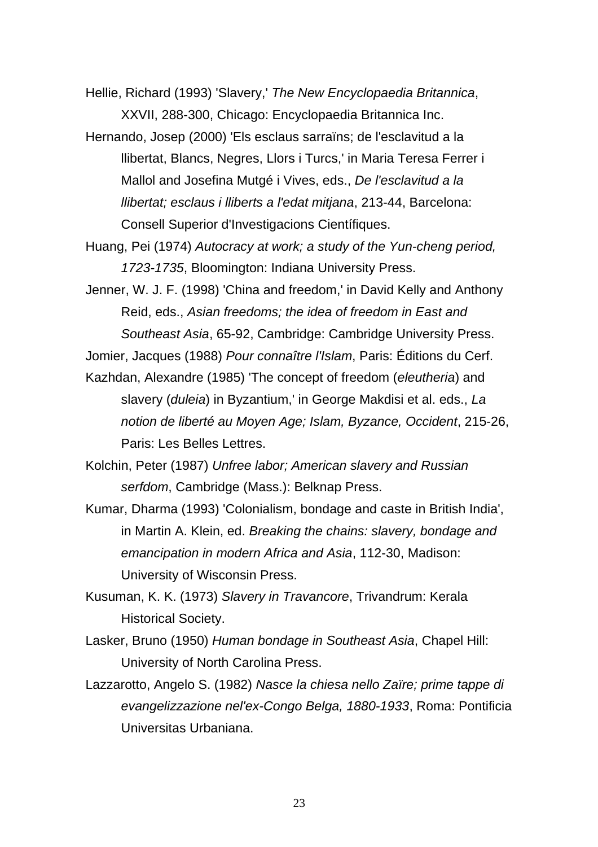Hellie, Richard (1993) 'Slavery,' *The New Encyclopaedia Britannica*, XXVII, 288-300, Chicago: Encyclopaedia Britannica Inc.

- Hernando, Josep (2000) 'Els esclaus sarraïns; de l'esclavitud a la llibertat, Blancs, Negres, Llors i Turcs,' in Maria Teresa Ferrer i Mallol and Josefina Mutgé i Vives, eds., *De l'esclavitud a la llibertat; esclaus i lliberts a l'edat mitjana*, 213-44, Barcelona: Consell Superior d'Investigacions Científiques.
- Huang, Pei (1974) *Autocracy at work; a study of the Yun-cheng period, 1723-1735*, Bloomington: Indiana University Press.

Jenner, W. J. F. (1998) 'China and freedom,' in David Kelly and Anthony Reid, eds., *Asian freedoms; the idea of freedom in East and Southeast Asia*, 65-92, Cambridge: Cambridge University Press.

Jomier, Jacques (1988) *Pour connaître l'Islam*, Paris: Éditions du Cerf.

Kazhdan, Alexandre (1985) 'The concept of freedom (*eleutheria*) and slavery (*duleia*) in Byzantium,' in George Makdisi et al. eds., *La notion de liberté au Moyen Age; Islam, Byzance, Occident*, 215-26, Paris: Les Belles Lettres.

Kolchin, Peter (1987) *Unfree labor; American slavery and Russian serfdom*, Cambridge (Mass.): Belknap Press.

Kumar, Dharma (1993) 'Colonialism, bondage and caste in British India', in Martin A. Klein, ed. *Breaking the chains: slavery, bondage and emancipation in modern Africa and Asia*, 112-30, Madison: University of Wisconsin Press.

Kusuman, K. K. (1973) *Slavery in Travancore*, Trivandrum: Kerala Historical Society.

- Lasker, Bruno (1950) *Human bondage in Southeast Asia*, Chapel Hill: University of North Carolina Press.
- Lazzarotto, Angelo S. (1982) *Nasce la chiesa nello Zaïre; prime tappe di evangelizzazione nel'ex-Congo Belga, 1880-1933*, Roma: Pontificia Universitas Urbaniana.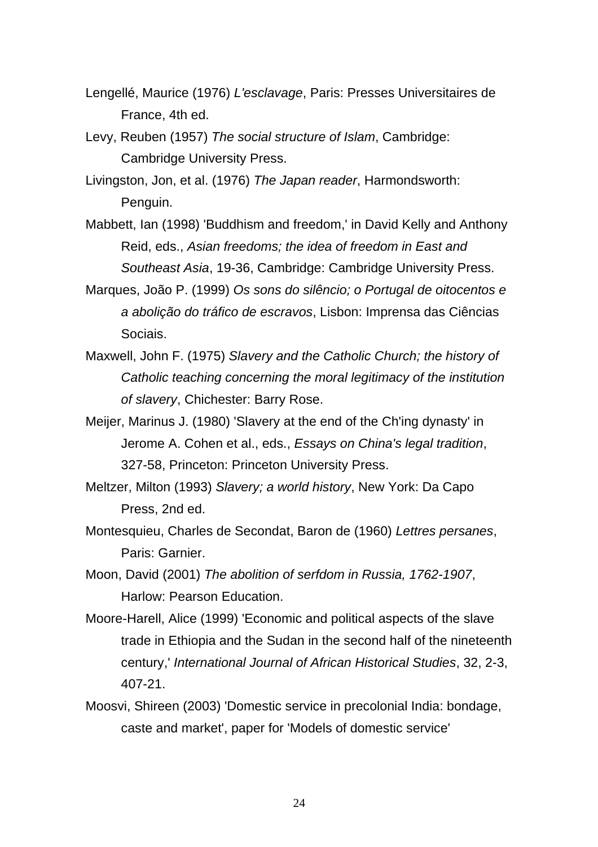- Lengellé, Maurice (1976) *L'esclavage*, Paris: Presses Universitaires de France, 4th ed.
- Levy, Reuben (1957) *The social structure of Islam*, Cambridge: Cambridge University Press.

Livingston, Jon, et al. (1976) *The Japan reader*, Harmondsworth: Penguin.

Mabbett, Ian (1998) 'Buddhism and freedom,' in David Kelly and Anthony Reid, eds., *Asian freedoms; the idea of freedom in East and Southeast Asia*, 19-36, Cambridge: Cambridge University Press.

- Marques, João P. (1999) *Os sons do silêncio; o Portugal de oitocentos e a abolição do tráfico de escravos*, Lisbon: Imprensa das Ciências Sociais.
- Maxwell, John F. (1975) *Slavery and the Catholic Church; the history of Catholic teaching concerning the moral legitimacy of the institution of slavery*, Chichester: Barry Rose.
- Meijer, Marinus J. (1980) 'Slavery at the end of the Ch'ing dynasty' in Jerome A. Cohen et al., eds., *Essays on China's legal tradition*, 327-58, Princeton: Princeton University Press.
- Meltzer, Milton (1993) *Slavery; a world history*, New York: Da Capo Press, 2nd ed.
- Montesquieu, Charles de Secondat, Baron de (1960) *Lettres persanes*, Paris: Garnier.
- Moon, David (2001) *The abolition of serfdom in Russia, 1762-1907*, Harlow: Pearson Education.
- Moore-Harell, Alice (1999) 'Economic and political aspects of the slave trade in Ethiopia and the Sudan in the second half of the nineteenth century,' *International Journal of African Historical Studies*, 32, 2-3, 407-21.
- Moosvi, Shireen (2003) 'Domestic service in precolonial India: bondage, caste and market', paper for 'Models of domestic service'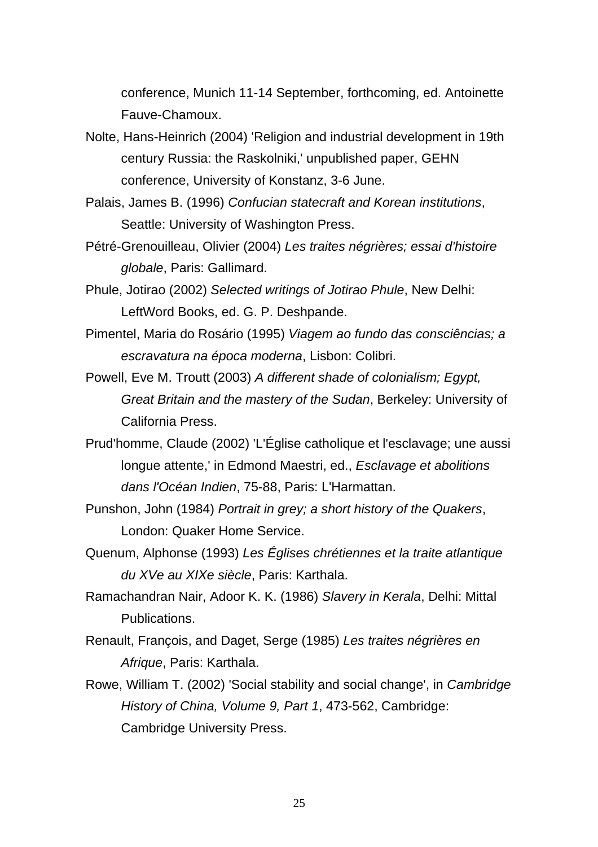conference, Munich 11-14 September, forthcoming, ed. Antoinette Fauve-Chamoux.

- Nolte, Hans-Heinrich (2004) 'Religion and industrial development in 19th century Russia: the Raskolniki,' unpublished paper, GEHN conference, University of Konstanz, 3-6 June.
- Palais, James B. (1996) *Confucian statecraft and Korean institutions*, Seattle: University of Washington Press.
- Pétré-Grenouilleau, Olivier (2004) *Les traites négrières; essai d'histoire globale*, Paris: Gallimard.
- Phule, Jotirao (2002) *Selected writings of Jotirao Phule*, New Delhi: LeftWord Books, ed. G. P. Deshpande.
- Pimentel, Maria do Rosário (1995) *Viagem ao fundo das consciências; a escravatura na época moderna*, Lisbon: Colibri.
- Powell, Eve M. Troutt (2003) *A different shade of colonialism; Egypt, Great Britain and the mastery of the Sudan*, Berkeley: University of California Press.
- Prud'homme, Claude (2002) 'L'Église catholique et l'esclavage; une aussi longue attente,' in Edmond Maestri, ed., *Esclavage et abolitions dans l'Océan Indien*, 75-88, Paris: L'Harmattan.
- Punshon, John (1984) *Portrait in grey; a short history of the Quakers*, London: Quaker Home Service.
- Quenum, Alphonse (1993) *Les Églises chrétiennes et la traite atlantique du XVe au XIXe siècle*, Paris: Karthala.
- Ramachandran Nair, Adoor K. K. (1986) *Slavery in Kerala*, Delhi: Mittal Publications.
- Renault, François, and Daget, Serge (1985) *Les traites négrières en Afrique*, Paris: Karthala.
- Rowe, William T. (2002) 'Social stability and social change', in *Cambridge History of China, Volume 9, Part 1*, 473-562, Cambridge: Cambridge University Press.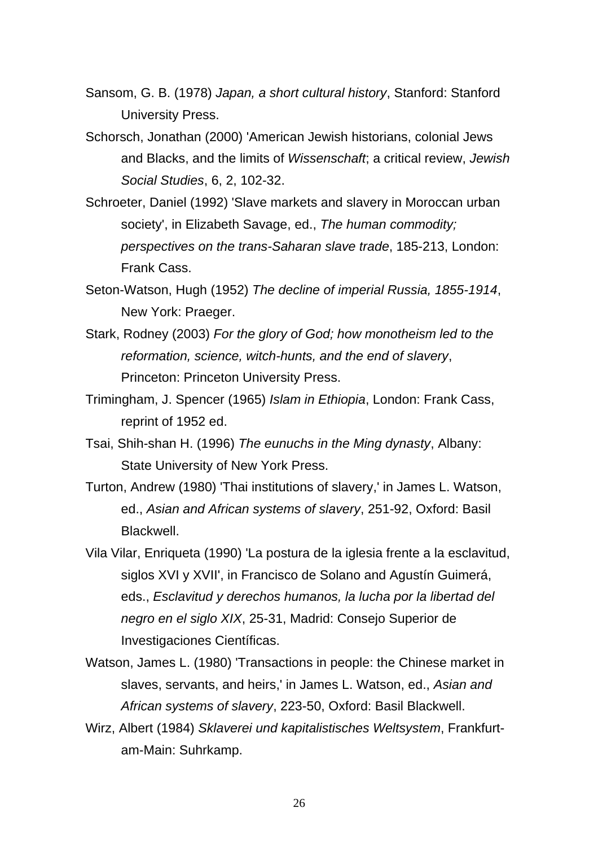- Sansom, G. B. (1978) *Japan, a short cultural history*, Stanford: Stanford University Press.
- Schorsch, Jonathan (2000) 'American Jewish historians, colonial Jews and Blacks, and the limits of *Wissenschaft*; a critical review, *Jewish Social Studies*, 6, 2, 102-32.
- Schroeter, Daniel (1992) 'Slave markets and slavery in Moroccan urban society', in Elizabeth Savage, ed., *The human commodity; perspectives on the trans-Saharan slave trade*, 185-213, London: Frank Cass.
- Seton-Watson, Hugh (1952) *The decline of imperial Russia, 1855-1914*, New York: Praeger.
- Stark, Rodney (2003) *For the glory of God; how monotheism led to the reformation, science, witch-hunts, and the end of slavery*, Princeton: Princeton University Press.
- Trimingham, J. Spencer (1965) *Islam in Ethiopia*, London: Frank Cass, reprint of 1952 ed.
- Tsai, Shih-shan H. (1996) *The eunuchs in the Ming dynasty*, Albany: State University of New York Press.
- Turton, Andrew (1980) 'Thai institutions of slavery,' in James L. Watson, ed., *Asian and African systems of slavery*, 251-92, Oxford: Basil Blackwell.
- Vila Vilar, Enriqueta (1990) 'La postura de la iglesia frente a la esclavitud, siglos XVI y XVII', in Francisco de Solano and Agustín Guimerá, eds., *Esclavitud y derechos humanos, la lucha por la libertad del negro en el siglo XIX*, 25-31, Madrid: Consejo Superior de Investigaciones Científicas.
- Watson, James L. (1980) 'Transactions in people: the Chinese market in slaves, servants, and heirs,' in James L. Watson, ed., *Asian and African systems of slavery*, 223-50, Oxford: Basil Blackwell.
- Wirz, Albert (1984) *Sklaverei und kapitalistisches Weltsystem*, Frankfurtam-Main: Suhrkamp.